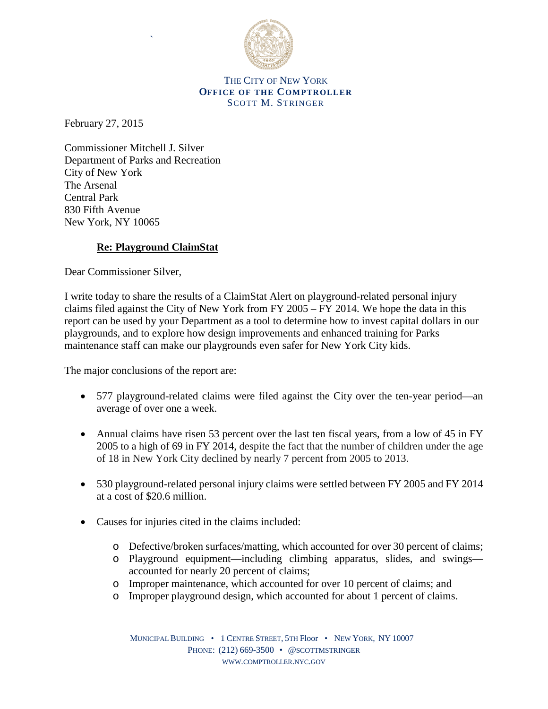

## THE CITY OF NEW YORK **OFFICE OF THE COMPTROLLER** SCOTT M. STRINGER

February 27, 2015

Commissioner Mitchell J. Silver Department of Parks and Recreation City of New York The Arsenal Central Park 830 Fifth Avenue New York, NY 10065

`

## **Re: Playground ClaimStat**

Dear Commissioner Silver,

I write today to share the results of a ClaimStat Alert on playground-related personal injury claims filed against the City of New York from FY 2005 – FY 2014. We hope the data in this report can be used by your Department as a tool to determine how to invest capital dollars in our playgrounds, and to explore how design improvements and enhanced training for Parks maintenance staff can make our playgrounds even safer for New York City kids.

The major conclusions of the report are:

- 577 playground-related claims were filed against the City over the ten-year period—an average of over one a week.
- Annual claims have risen 53 percent over the last ten fiscal years, from a low of 45 in FY 2005 to a high of 69 in FY 2014, despite the fact that the number of children under the age of 18 in New York City declined by nearly 7 percent from 2005 to 2013.
- 530 playground-related personal injury claims were settled between FY 2005 and FY 2014 at a cost of \$20.6 million.
- Causes for injuries cited in the claims included:
	- o Defective/broken surfaces/matting, which accounted for over 30 percent of claims;
	- o Playground equipment—including climbing apparatus, slides, and swings accounted for nearly 20 percent of claims;
	- o Improper maintenance, which accounted for over 10 percent of claims; and
	- o Improper playground design, which accounted for about 1 percent of claims.